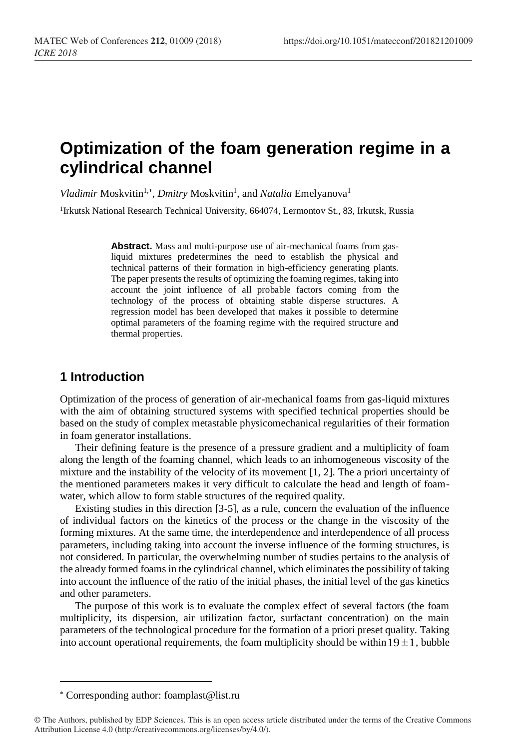# **Optimization of the foam generation regime in a cylindrical channel**

Vladimir Moskvitin<sup>1,\*</sup>, *Dmitry* Moskvitin<sup>1</sup>, and *Natalia* Emelyanova<sup>1</sup>

<sup>1</sup>Irkutsk National Research Technical University, 664074, Lermontov St., 83, Irkutsk, Russia

**Abstract.** Mass and multi-purpose use of air-mechanical foams from gasliquid mixtures predetermines the need to establish the physical and technical patterns of their formation in high-efficiency generating plants. The paper presents the results of optimizing the foaming regimes, taking into account the joint influence of all probable factors coming from the technology of the process of obtaining stable disperse structures. A regression model has been developed that makes it possible to determine optimal parameters of the foaming regime with the required structure and thermal properties.

## **1 Introduction**

Optimization of the process of generation of air-mechanical foams from gas-liquid mixtures with the aim of obtaining structured systems with specified technical properties should be based on the study of complex metastable physicomechanical regularities of their formation in foam generator installations.

Their defining feature is the presence of a pressure gradient and a multiplicity of foam along the length of the foaming channel, which leads to an inhomogeneous viscosity of the mixture and the instability of the velocity of its movement [1, 2]. The a priori uncertainty of the mentioned parameters makes it very difficult to calculate the head and length of foamwater, which allow to form stable structures of the required quality.

Existing studies in this direction [3-5], as a rule, concern the evaluation of the influence of individual factors on the kinetics of the process or the change in the viscosity of the forming mixtures. At the same time, the interdependence and interdependence of all process parameters, including taking into account the inverse influence of the forming structures, is not considered. In particular, the overwhelming number of studies pertains to the analysis of the already formed foams in the cylindrical channel, which eliminates the possibility of taking into account the influence of the ratio of the initial phases, the initial level of the gas kinetics and other parameters.

The purpose of this work is to evaluate the complex effect of several factors (the foam multiplicity, its dispersion, air utilization factor, surfactant concentration) on the main parameters of the technological procedure for the formation of a priori preset quality. Taking into account operational requirements, the foam multiplicity should be within  $19\pm1$ , bubble

 $\overline{a}$ 

Corresponding author: [foamplast@list.ru](mailto:foamplast@list.ru)

<sup>©</sup> The Authors, published by EDP Sciences. This is an open access article distributed under the terms of the Creative Commons Attribution License 4.0 (http://creativecommons.org/licenses/by/4.0/).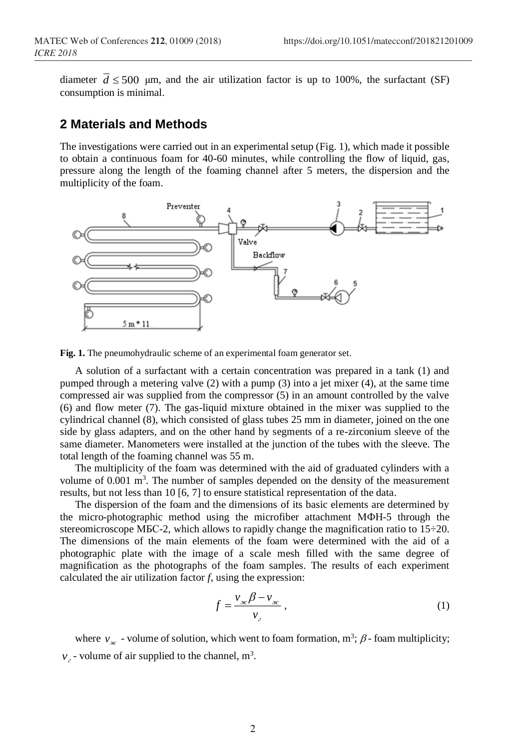diameter  $d \le 500$  µm, and the air utilization factor is up to 100%, the surfactant (SF) consumption is minimal.

## **2 Materials and Methods**

The investigations were carried out in an experimental setup (Fig. 1), which made it possible to obtain a continuous foam for 40-60 minutes, while controlling the flow of liquid, gas, pressure along the length of the foaming channel after 5 meters, the dispersion and the multiplicity of the foam.



**Fig. 1.** The pneumohydraulic scheme of an experimental foam generator set.

A solution of a surfactant with a certain concentration was prepared in a tank (1) and pumped through a metering valve (2) with a pump (3) into a jet mixer (4), at the same time compressed air was supplied from the compressor (5) in an amount controlled by the valve (6) and flow meter (7). The gas-liquid mixture obtained in the mixer was supplied to the cylindrical channel (8), which consisted of glass tubes 25 mm in diameter, joined on the one side by glass adapters, and on the other hand by segments of a re-zirconium sleeve of the same diameter. Manometers were installed at the junction of the tubes with the sleeve. The total length of the foaming channel was 55 m.

The multiplicity of the foam was determined with the aid of graduated cylinders with a volume of  $0.001 \text{ m}^3$ . The number of samples depended on the density of the measurement results, but not less than 10 [6, 7] to ensure statistical representation of the data.

The dispersion of the foam and the dimensions of its basic elements are determined by the micro-photographic method using the microfiber attachment МФН-5 through the stereomicroscope MBC-2, which allows to rapidly change the magnification ratio to 15–20. The dimensions of the main elements of the foam were determined with the aid of a photographic plate with the image of a scale mesh filled with the same degree of magnification as the photographs of the foam samples. The results of each experiment calculated the air utilization factor *f*, using the expression:

$$
f = \frac{v_{\text{ac}}\beta - v_{\text{ac}}}{v_{\text{c}}},\tag{1}
$$

where  $v_{\text{ac}}$  - volume of solution, which went to foam formation, m<sup>3</sup>;  $\beta$ -foam multiplicity;  $v<sub>2</sub>$  - volume of air supplied to the channel, m<sup>3</sup>.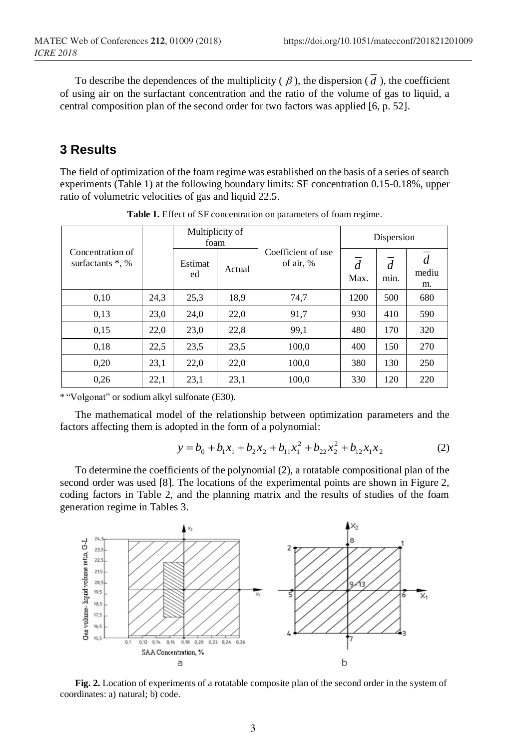To describe the dependences of the multiplicity  $(\beta)$ , the dispersion  $(d)$ , the coefficient of using air on the surfactant concentration and the ratio of the volume of gas to liquid, a central composition plan of the second order for two factors was applied [6, p. 52].

# **3 Results**

The field of optimization of the foam regime was established on the basis of a series of search experiments (Table 1) at the following boundary limits: SF concentration 0.15-0.18%, upper ratio of volumetric velocities of gas and liquid 22.5.

|                                         |      | Multiplicity of<br>foam |        |                                 | Dispersion             |                        |             |
|-----------------------------------------|------|-------------------------|--------|---------------------------------|------------------------|------------------------|-------------|
| Concentration of<br>surfactants $*$ , % |      | Estimat<br>ed           | Actual | Coefficient of use<br>of air, % | $\overline{d}$<br>Max. | $\overline{d}$<br>min. | mediu<br>m. |
| 0,10                                    | 24,3 | 25,3                    | 18.9   | 74,7                            | 1200                   | 500                    | 680         |
| 0.13                                    | 23.0 | 24.0                    | 22.0   | 91,7                            | 930                    | 410                    | 590         |
| 0.15                                    | 22,0 | 23,0                    | 22,8   | 99,1                            | 480                    | 170                    | 320         |
| 0.18                                    | 22,5 | 23.5                    | 23,5   | 100,0                           | 400                    | 150                    | 270         |
| 0,20                                    | 23,1 | 22,0                    | 22,0   | 100,0                           | 380                    | 130                    | 250         |
| 0,26                                    | 22,1 | 23,1                    | 23,1   | 100,0                           | 330                    | 120                    | 220         |

**Table 1.** Effect of SF concentration on parameters of foam regime.

\* "Volgonat" or sodium alkyl sulfonate (Е30).

The mathematical model of the relationship between optimization parameters and the factors affecting them is adopted in the form of a polynomial:

$$
y = b_0 + b_1 x_1 + b_2 x_2 + b_{11} x_1^2 + b_{22} x_2^2 + b_{12} x_1 x_2
$$
 (2)

To determine the coefficients of the polynomial (2), a rotatable compositional plan of the second order was used [8]. The locations of the experimental points are shown in Figure 2, coding factors in Table 2, and the planning matrix and the results of studies of the foam generation regime in Tables 3.



**Fig. 2.** Location of experiments of a rotatable composite plan of the second order in the system of coordinates: a) natural; b) code.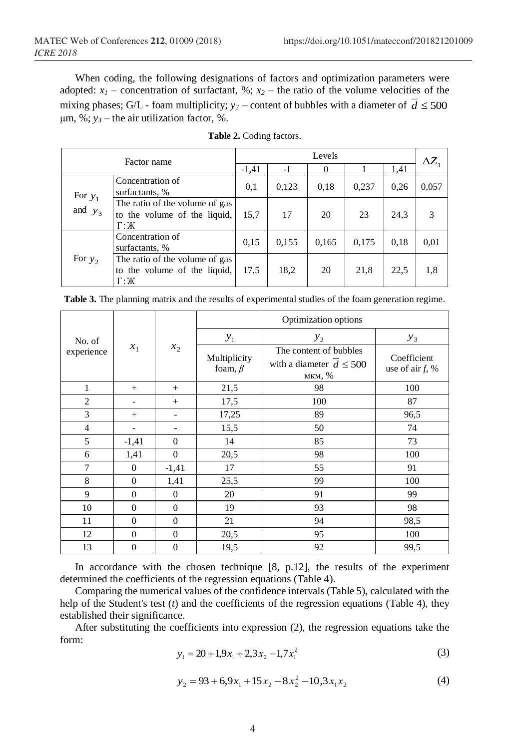When coding, the following designations of factors and optimization parameters were adopted:  $x_1$  – concentration of surfactant, %;  $x_2$  – the ratio of the volume velocities of the mixing phases; G/L - foam multiplicity;  $y_2$  – content of bubbles with a diameter of  $d \leq 500$ μm, %;  $y_3$  – the air utilization factor, %.

| Factor name |                                                                                           | Levels  |       |       |       |      |              |
|-------------|-------------------------------------------------------------------------------------------|---------|-------|-------|-------|------|--------------|
|             |                                                                                           | $-1,41$ | $-1$  | 0     |       | 1,41 | $\Delta Z_1$ |
| For $y_1$   | Concentration of<br>surfactants, %                                                        | 0,1     | 0,123 | 0,18  | 0,237 | 0,26 | 0,057        |
| and $y_3$   | The ratio of the volume of gas<br>to the volume of the liquid,<br>$\Gamma$ : $\mathbb{X}$ | 15,7    | 17    | 20    | 23    | 24,3 |              |
|             | Concentration of<br>surfactants, %                                                        | 0,15    | 0,155 | 0,165 | 0,175 | 0.18 | 0,01         |
| For $y_2$   | The ratio of the volume of gas<br>to the volume of the liquid,<br>$\Gamma$ : $\mathbb{X}$ | 17.5    | 18,2  | 20    | 21,8  | 22,5 | 1,8          |

|  |  | <b>Table 2.</b> Coding factors. |  |
|--|--|---------------------------------|--|
|--|--|---------------------------------|--|

**Table 3.** The planning matrix and the results of experimental studies of the foam generation regime.

|                      | $x_1$          | $x_2$                    | Optimization options          |                                                                  |                                   |  |
|----------------------|----------------|--------------------------|-------------------------------|------------------------------------------------------------------|-----------------------------------|--|
| No. of<br>experience |                |                          | $y_1$<br>$y_2$                |                                                                  | $y_3$                             |  |
|                      |                |                          | Multiplicity<br>foam, $\beta$ | The content of bubbles<br>with a diameter $d \leq 500$<br>мкм, % | Coefficient<br>use of air $f$ , % |  |
| 1                    | $^{+}$         | $+$                      | 21,5                          | 98                                                               | 100                               |  |
| $\overline{c}$       |                | $+$                      | 17,5                          | 100                                                              | 87                                |  |
| 3                    | $^{+}$         | $\overline{\phantom{0}}$ | 17,25                         | 89                                                               | 96,5                              |  |
| $\overline{4}$       |                | $\qquad \qquad$          | 15,5                          | 50                                                               | 74                                |  |
| 5                    | $-1,41$        | $\theta$                 | 14                            | 85                                                               | 73                                |  |
| 6                    | 1,41           | $\Omega$                 | 20,5                          | 98                                                               | 100                               |  |
| 7                    | $\mathbf{0}$   | $-1,41$                  | 17                            | 55                                                               | 91                                |  |
| 8                    | $\mathbf{0}$   | 1,41                     | 25,5                          | 99                                                               | 100                               |  |
| 9                    | $\mathbf{0}$   | $\theta$                 | 20                            | 91                                                               | 99                                |  |
| 10                   | $\mathbf{0}$   | $\theta$                 | 19                            | 93                                                               | 98                                |  |
| 11                   | $\overline{0}$ | $\theta$                 | 21                            | 94                                                               | 98,5                              |  |
| 12                   | $\overline{0}$ | $\theta$                 | 20,5                          | 95                                                               | 100                               |  |
| 13                   | $\overline{0}$ | $\overline{0}$           | 19,5                          | 92                                                               | 99,5                              |  |

In accordance with the chosen technique [8, p.12], the results of the experiment determined the coefficients of the regression equations (Table 4).

Comparing the numerical values of the confidence intervals (Table 5), calculated with the help of the Student's test (*t*) and the coefficients of the regression equations (Table 4), they established their significance.

After substituting the coefficients into expression (2), the regression equations take the form:

$$
y_1 = 20 + 1,9x_1 + 2,3x_2 - 1,7x_1^2
$$
 (3)

$$
y_2 = 93 + 6,9x_1 + 15x_2 - 8x_2^2 - 10,3x_1x_2 \tag{4}
$$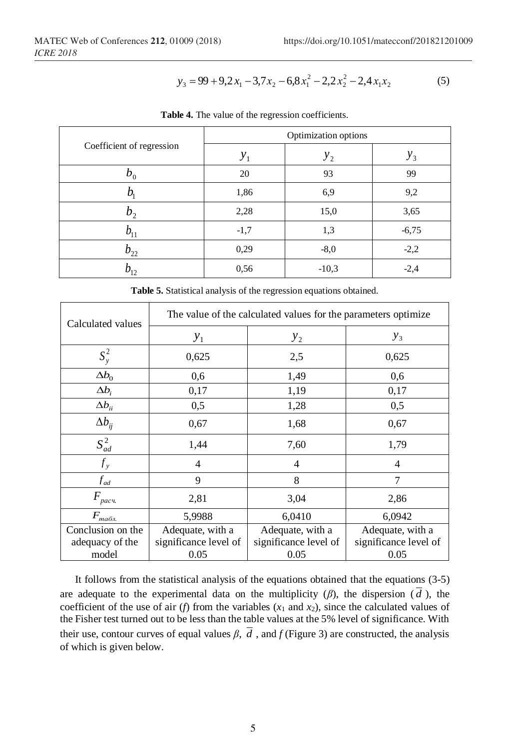$$
y_3 = 99 + 9, 2x_1 - 3, 7x_2 - 6, 8x_1^2 - 2, 2x_2^2 - 2, 4x_1x_2 \tag{5}
$$

|                           | Optimization options |         |         |  |  |
|---------------------------|----------------------|---------|---------|--|--|
| Coefficient of regression | $y_1$                | $y_2$   | $y_3$   |  |  |
| $b_0$                     | 20                   | 93      | 99      |  |  |
|                           | 1,86                 | 6,9     | 9,2     |  |  |
| $b_{\gamma}$              | 2,28                 | 15,0    | 3,65    |  |  |
|                           | $-1,7$               | 1,3     | $-6,75$ |  |  |
| $b_{22}$                  | 0,29                 | $-8,0$  | $-2,2$  |  |  |
| $b_{12}$                  | 0,56                 | $-10,3$ | $-2,4$  |  |  |

**Table 4.** The value of the regression coefficients.

**Table 5.** Statistical analysis of the regression equations obtained.

| Calculated values | The value of the calculated values for the parameters optimize |                       |                       |  |  |  |  |
|-------------------|----------------------------------------------------------------|-----------------------|-----------------------|--|--|--|--|
|                   | $y_{1}$                                                        | $y_{2}$               | $y_3$                 |  |  |  |  |
| $S_{y}^{2}$       | 0,625                                                          | 2,5                   | 0,625                 |  |  |  |  |
| $\Delta b_0$      | 0,6                                                            | 1,49                  | 0,6                   |  |  |  |  |
| $\Delta b_i$      | 0,17                                                           | 1,19                  | 0,17                  |  |  |  |  |
| $\Delta b_{ii}$   | 0,5                                                            | 1,28                  | 0,5                   |  |  |  |  |
| $\Delta b_{ii}$   | 0,67                                                           | 1,68                  | 0,67                  |  |  |  |  |
| $S_{ad}^2$        | 1,44                                                           | 7,60                  | 1,79                  |  |  |  |  |
| $f_{y}$           | $\overline{4}$                                                 | 4                     | $\overline{4}$        |  |  |  |  |
| $f_{ad}$          | 9                                                              | 8                     | 7                     |  |  |  |  |
| $F_{\text{pacu}}$ | 2,81                                                           | 3,04                  | 2,86                  |  |  |  |  |
| $F_{ma6n}$        | 5,9988                                                         | 6,0410                | 6,0942                |  |  |  |  |
| Conclusion on the | Adequate, with a                                               | Adequate, with a      | Adequate, with a      |  |  |  |  |
| adequacy of the   | significance level of                                          | significance level of | significance level of |  |  |  |  |
| model             | 0.05                                                           | 0.05                  | 0.05                  |  |  |  |  |

It follows from the statistical analysis of the equations obtained that the equations (3-5) are adequate to the experimental data on the multiplicity  $(\beta)$ , the dispersion (d), the coefficient of the use of air (*f*) from the variables  $(x_1 \text{ and } x_2)$ , since the calculated values of the Fisher test turned out to be less than the table values at the 5% level of significance. With their use, contour curves of equal values  $\beta$ ,  $d$ , and  $f$  (Figure 3) are constructed, the analysis of which is given below.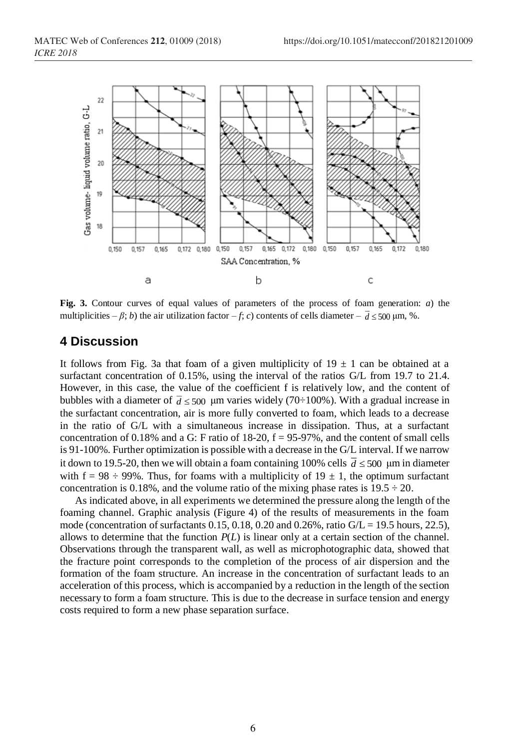

**Fig. 3.** Contour curves of equal values of parameters of the process of foam generation: *a*) the multiplicities  $-\beta$ ; *b*) the air utilization factor  $-f$ ; *c*) contents of cells diameter  $-\frac{d}{500}$  µm, %.

### **4 Discussion**

It follows from Fig. 3a that foam of a given multiplicity of  $19 \pm 1$  can be obtained at a surfactant concentration of 0.15%, using the interval of the ratios G/L from 19.7 to 21.4. However, in this case, the value of the coefficient f is relatively low, and the content of bubbles with a diameter of  $\bar{d} \le 500$  µm varies widely (70÷100%). With a gradual increase in the surfactant concentration, air is more fully converted to foam, which leads to a decrease in the ratio of G/L with a simultaneous increase in dissipation. Thus, at a surfactant concentration of 0.18% and a G: F ratio of 18-20,  $f = 95-97$ %, and the content of small cells is 91-100%. Further optimization is possible with a decrease in the G/L interval. If we narrow it down to 19.5-20, then we will obtain a foam containing 100% cells  $\overline{d} \leq 500 \, \mu m$  in diameter with  $f = 98 \div 99\%$ . Thus, for foams with a multiplicity of  $19 \pm 1$ , the optimum surfactant concentration is 0.18%, and the volume ratio of the mixing phase rates is  $19.5 \div 20$ .

As indicated above, in all experiments we determined the pressure along the length of the foaming channel. Graphic analysis (Figure 4) of the results of measurements in the foam mode (concentration of surfactants  $0.15$ ,  $0.18$ ,  $0.20$  and  $0.26\%$ , ratio  $G/L = 19.5$  hours, 22.5), allows to determine that the function  $P(L)$  is linear only at a certain section of the channel. Observations through the transparent wall, as well as microphotographic data, showed that the fracture point corresponds to the completion of the process of air dispersion and the formation of the foam structure. An increase in the concentration of surfactant leads to an acceleration of this process, which is accompanied by a reduction in the length of the section necessary to form a foam structure. This is due to the decrease in surface tension and energy costs required to form a new phase separation surface.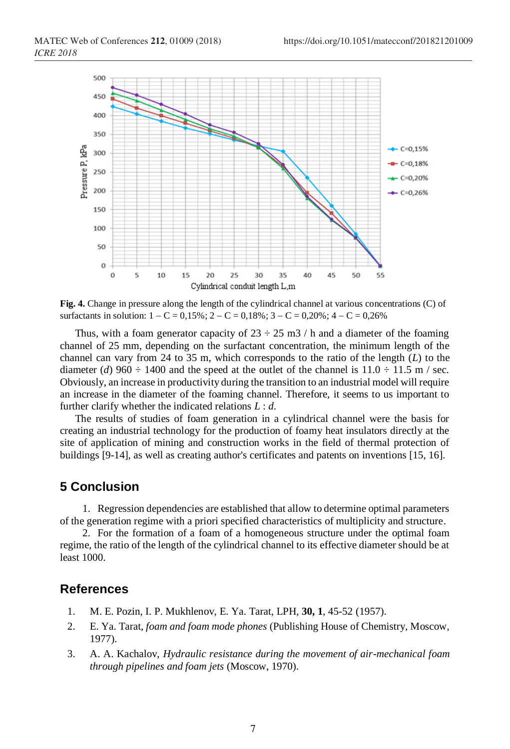

**Fig. 4.** Change in pressure along the length of the cylindrical channel at various concentrations (C) of surfactants in solution:  $1 - C = 0.15\%$ ;  $2 - C = 0.18\%$ ;  $3 - C = 0.20\%$ ;  $4 - C = 0.26\%$ 

Thus, with a foam generator capacity of  $23 \div 25$  m3 / h and a diameter of the foaming channel of 25 mm, depending on the surfactant concentration, the minimum length of the channel can vary from 24 to 35 m, which corresponds to the ratio of the length (*L*) to the diameter (*d*) 960  $\div$  1400 and the speed at the outlet of the channel is 11.0  $\div$  11.5 m / sec. Obviously, an increase in productivity during the transition to an industrial model will require an increase in the diameter of the foaming channel. Therefore, it seems to us important to further clarify whether the indicated relations *L* : *d*.

The results of studies of foam generation in a cylindrical channel were the basis for creating an industrial technology for the production of foamy heat insulators directly at the site of application of mining and construction works in the field of thermal protection of buildings [9-14], as well as creating author's certificates and patents on inventions [15, 16].

## **5 Conclusion**

1. Regression dependencies are established that allow to determine optimal parameters of the generation regime with a priori specified characteristics of multiplicity and structure.

2. For the formation of a foam of a homogeneous structure under the optimal foam regime, the ratio of the length of the cylindrical channel to its effective diameter should be at least 1000.

### **References**

- 1. M. E. Pozin, I. P. Mukhlenov, E. Ya. Tarat, LPH, **30, 1**, 45-52 (1957).
- 2. E. Ya. Tarat, *foam and foam mode phones* (Publishing House of Chemistry, Moscow, 1977).
- 3. A. A. Kachalov, *Hydraulic resistance during the movement of air-mechanical foam through pipelines and foam jets* (Moscow, 1970).